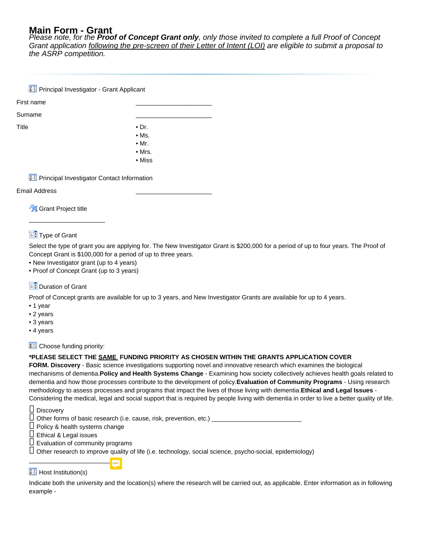# **Main Form - Grant**

Please note, for the **Proof of Concept Grant only**, only those invited to complete a full Proof of Concept Grant application following the pre-screen of their Letter of Intent (LOI) are eligible to submit a proposal to the ASRP competition.

|       | <b>33</b> Principal Investigator - Grant Applicant   |                |  |
|-------|------------------------------------------------------|----------------|--|
|       | First name                                           |                |  |
|       | Surname                                              |                |  |
| Title |                                                      | $\bullet$ Dr.  |  |
|       |                                                      | $\bullet$ Ms.  |  |
|       |                                                      | $\bullet$ Mr.  |  |
|       |                                                      | $\bullet$ Mrs. |  |
|       |                                                      | • Miss         |  |
|       | <b>33</b> Principal Investigator Contact Information |                |  |
|       | .                                                    |                |  |

#### Email Address \_\_\_\_\_\_\_\_\_\_\_\_\_\_\_\_\_\_\_\_\_\_

**Grant Project title** 

\_\_\_\_\_\_\_\_\_\_\_\_\_\_\_\_\_\_\_\_\_\_

# $\mathbf{F}$ . Type of Grant

Select the type of grant you are applying for. The New Investigator Grant is \$200,000 for a period of up to four years. The Proof of Concept Grant is \$100,000 for a period of up to three years.

- New Investigator grant (up to 4 years)
- Proof of Concept Grant (up to 3 years)

# $\mathbb{F}$  Duration of Grant

Proof of Concept grants are available for up to 3 years, and New Investigator Grants are available for up to 4 years.

- 1 year
- 2 years
- 3 years
- 4 years

 $\epsilon =$  Choose funding priority:

# **\*PLEASE SELECT THE SAME FUNDING PRIORITY AS CHOSEN WITHIN THE GRANTS APPLICATION COVER**

**FORM. Discovery** - Basic science investigations supporting novel and innovative research which examines the biological mechanisms of dementia.**Policy and Health Systems Change** - Examining how society collectively achieves health goals related to dementia and how those processes contribute to the development of policy.**Evaluation of Community Programs** - Using research methodology to assess processes and programs that impact the lives of those living with dementia.**Ethical and Legal Issues** - Considering the medical, legal and social support that is required by people living with dementia in order to live a better quality of life.

- $\Box$  Discovery
- $\square$  Other forms of basic research (i.e. cause, risk, prevention, etc.)  $\overline{\phantom{a}}$
- $\Box$  Policy & health systems change
- $\square$  Ethical & Legal issues
- $\Box$  Evaluation of community programs

\_\_\_\_\_\_\_\_\_\_\_\_\_\_\_\_\_\_\_\_\_\_\_\_\_\_

 $\Box$  Other research to improve quality of life (i.e. technology, social science, psycho-social, epidemiology)

# $33$  Host Institution(s)

Indicate both the university and the location(s) where the research will be carried out, as applicable. Enter information as in following example -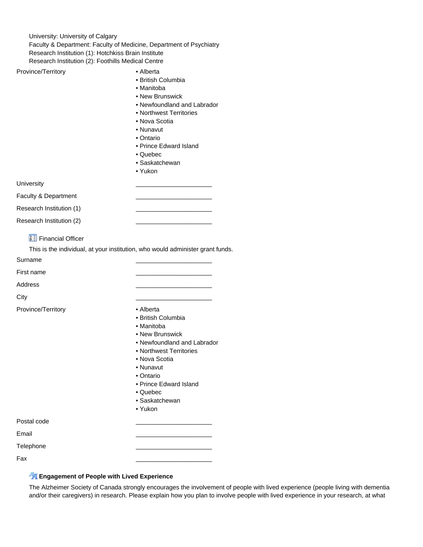University: University of Calgary Faculty & Department: Faculty of Medicine, Department of Psychiatry Research Institution (1): Hotchkiss Brain Institute Research Institution (2): Foothills Medical Centre

Province/Territory **• Alberta** 

- British Columbia
- Manitoba • New Brunswick
- Newfoundland and Labrador
- Northwest Territories
- Nova Scotia
- Nunavut
- Ontario
- Prince Edward Island
- Quebec
- Saskatchewan
- Yukon

University \_\_\_\_\_\_\_\_\_\_\_\_\_\_\_\_\_\_\_\_\_\_

Faculty & Department

Research Institution (1)

Research Institution (2)

**33** Financial Officer

This is the individual, at your institution, who would administer grant funds.

Surname \_\_\_\_\_\_\_\_\_\_\_\_\_\_\_\_\_\_\_\_\_\_

First name \_\_\_\_\_\_\_\_\_\_\_\_\_\_\_\_\_\_\_\_\_\_

Address \_\_\_\_\_\_\_\_\_\_\_\_\_\_\_\_\_\_\_\_\_\_

City \_\_\_\_\_\_\_\_\_\_\_\_\_\_\_\_\_\_\_\_\_\_

Province/Territory **• Alberta** 

- 
- British Columbia
- Manitoba • New Brunswick
- Newfoundland and Labrador
- Northwest Territories
- Nova Scotia
- Nunavut
- Ontario
- Prince Edward Island
- Quebec
- Saskatchewan
- Yukon

Postal code \_\_\_\_\_\_\_\_\_\_\_\_\_\_\_\_\_\_\_\_\_\_

Email \_\_\_\_\_\_\_\_\_\_\_\_\_\_\_\_\_\_\_\_\_\_

Telephone \_\_\_\_\_\_\_\_\_\_\_\_\_\_\_\_\_\_\_\_\_\_

Fax \_\_\_\_\_\_\_\_\_\_\_\_\_\_\_\_\_\_\_\_\_\_

### **Engagement of People with Lived Experience**

The Alzheimer Society of Canada strongly encourages the involvement of people with lived experience (people living with dementia and/or their caregivers) in research. Please explain how you plan to involve people with lived experience in your research, at what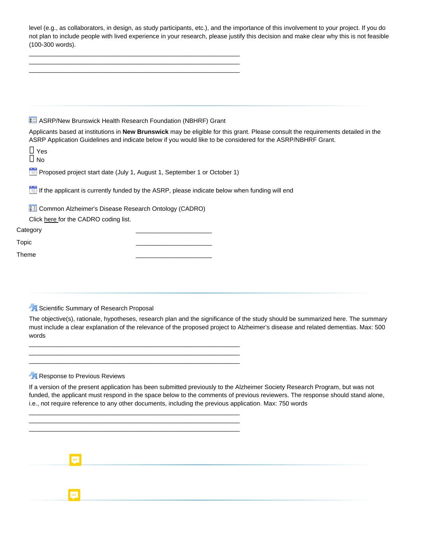| level (e.g., as collaborators, in design, as study participants, etc.), and the importance of this involvement to your project. If you do |
|-------------------------------------------------------------------------------------------------------------------------------------------|
| not plan to include people with lived experience in your research, please justify this decision and make clear why this is not feasible   |
| (100-300 words).                                                                                                                          |

\_\_\_\_\_\_\_\_\_\_\_\_\_\_\_\_\_\_\_\_\_\_\_\_\_\_\_\_\_\_\_\_\_\_\_\_\_\_\_\_\_\_\_\_\_\_\_\_\_\_\_\_\_\_\_\_\_\_\_\_\_

| <b>8 ASRP/New Brunswick Health Research Foundation (NBHRF) Grant</b><br>Applicants based at institutions in New Brunswick may be eligible for this grant. Please consult the requirements detailed in the<br>ASRP Application Guidelines and indicate below if you would like to be considered for the ASRP/NBHRF Grant.<br>$\Box$ Yes<br>$\Box$ No<br>Proposed project start date (July 1, August 1, September 1 or October 1)<br>If the applicant is currently funded by the ASRP, please indicate below when funding will end<br><b>33</b> Common Alzheimer's Disease Research Ontology (CADRO)<br>Click here for the CADRO coding list.<br>Scientific Summary of Research Proposal<br>The objective(s), rationale, hypotheses, research plan and the significance of the study should be summarized here. The summary<br>must include a clear explanation of the relevance of the proposed project to Alzheimer's disease and related dementias. Max: 500<br>words<br>Response to Previous Reviews<br>If a version of the present application has been submitted previously to the Alzheimer Society Research Program, but was not<br>funded, the applicant must respond in the space below to the comments of previous reviewers. The response should stand alone,<br>i.e., not require reference to any other documents, including the previous application. Max: 750 words |                |  |  |  |
|-----------------------------------------------------------------------------------------------------------------------------------------------------------------------------------------------------------------------------------------------------------------------------------------------------------------------------------------------------------------------------------------------------------------------------------------------------------------------------------------------------------------------------------------------------------------------------------------------------------------------------------------------------------------------------------------------------------------------------------------------------------------------------------------------------------------------------------------------------------------------------------------------------------------------------------------------------------------------------------------------------------------------------------------------------------------------------------------------------------------------------------------------------------------------------------------------------------------------------------------------------------------------------------------------------------------------------------------------------------------------------------|----------------|--|--|--|
|                                                                                                                                                                                                                                                                                                                                                                                                                                                                                                                                                                                                                                                                                                                                                                                                                                                                                                                                                                                                                                                                                                                                                                                                                                                                                                                                                                                   |                |  |  |  |
|                                                                                                                                                                                                                                                                                                                                                                                                                                                                                                                                                                                                                                                                                                                                                                                                                                                                                                                                                                                                                                                                                                                                                                                                                                                                                                                                                                                   |                |  |  |  |
|                                                                                                                                                                                                                                                                                                                                                                                                                                                                                                                                                                                                                                                                                                                                                                                                                                                                                                                                                                                                                                                                                                                                                                                                                                                                                                                                                                                   |                |  |  |  |
|                                                                                                                                                                                                                                                                                                                                                                                                                                                                                                                                                                                                                                                                                                                                                                                                                                                                                                                                                                                                                                                                                                                                                                                                                                                                                                                                                                                   | Category       |  |  |  |
|                                                                                                                                                                                                                                                                                                                                                                                                                                                                                                                                                                                                                                                                                                                                                                                                                                                                                                                                                                                                                                                                                                                                                                                                                                                                                                                                                                                   | Topic<br>Theme |  |  |  |
|                                                                                                                                                                                                                                                                                                                                                                                                                                                                                                                                                                                                                                                                                                                                                                                                                                                                                                                                                                                                                                                                                                                                                                                                                                                                                                                                                                                   |                |  |  |  |
|                                                                                                                                                                                                                                                                                                                                                                                                                                                                                                                                                                                                                                                                                                                                                                                                                                                                                                                                                                                                                                                                                                                                                                                                                                                                                                                                                                                   |                |  |  |  |
|                                                                                                                                                                                                                                                                                                                                                                                                                                                                                                                                                                                                                                                                                                                                                                                                                                                                                                                                                                                                                                                                                                                                                                                                                                                                                                                                                                                   |                |  |  |  |
|                                                                                                                                                                                                                                                                                                                                                                                                                                                                                                                                                                                                                                                                                                                                                                                                                                                                                                                                                                                                                                                                                                                                                                                                                                                                                                                                                                                   |                |  |  |  |
|                                                                                                                                                                                                                                                                                                                                                                                                                                                                                                                                                                                                                                                                                                                                                                                                                                                                                                                                                                                                                                                                                                                                                                                                                                                                                                                                                                                   |                |  |  |  |

 $\blacksquare$ 

 $\overline{\mathbf{E}}$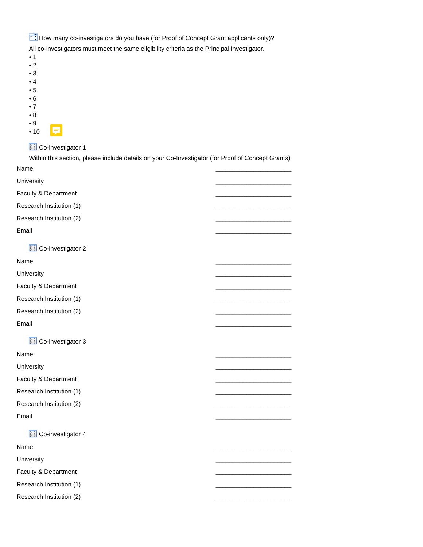$\mathbb{H}$  How many co-investigators do you have (for Proof of Concept Grant applicants only)? All co-investigators must meet the same eligibility criteria as the Principal Investigator.

- 1
- 2
- 3
- 4
- 5
- 6
- 7
- 8
- 9 • 10

# **33** Co-investigator 1

Within this section, please include details on your Co-Investigator (for Proof of Concept Grants) Name \_\_\_\_\_\_\_\_\_\_\_\_\_\_\_\_\_\_\_\_\_\_

University \_\_\_\_\_\_\_\_\_\_\_\_\_\_\_\_\_\_\_\_\_\_ Faculty & Department Research Institution (1) \_\_\_\_\_\_\_\_\_\_\_\_\_\_\_\_\_\_\_\_\_\_ Research Institution (2) \_\_\_\_\_\_\_\_\_\_\_\_\_\_\_\_\_\_\_\_\_\_ Email \_\_\_\_\_\_\_\_\_\_\_\_\_\_\_\_\_\_\_\_\_\_ **33** Co-investigator 2 Name \_\_\_\_\_\_\_\_\_\_\_\_\_\_\_\_\_\_\_\_\_\_ University \_\_\_\_\_\_\_\_\_\_\_\_\_\_\_\_\_\_\_\_\_\_ Faculty & Department Research Institution (1) Research Institution (2) Email \_\_\_\_\_\_\_\_\_\_\_\_\_\_\_\_\_\_\_\_\_\_ **33** Co-investigator 3 Name \_\_\_\_\_\_\_\_\_\_\_\_\_\_\_\_\_\_\_\_\_\_ University \_\_\_\_\_\_\_\_\_\_\_\_\_\_\_\_\_\_\_\_\_\_ Faculty & Department Research Institution (1) Research Institution (2) Email \_\_\_\_\_\_\_\_\_\_\_\_\_\_\_\_\_\_\_\_\_\_ **11** Co-investigator 4 Name \_\_\_\_\_\_\_\_\_\_\_\_\_\_\_\_\_\_\_\_\_\_ University \_\_\_\_\_\_\_\_\_\_\_\_\_\_\_\_\_\_\_\_\_\_ Faculty & Department Research Institution (1) Research Institution (2)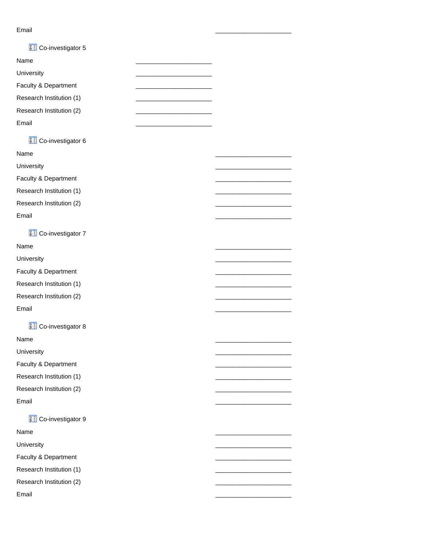#### Email \_\_\_\_\_\_\_\_\_\_\_\_\_\_\_\_\_\_\_\_\_\_

| <b>33</b> Co-investigator 5 |  |
|-----------------------------|--|
| Name                        |  |
| University                  |  |
| Faculty & Department        |  |
| Research Institution (1)    |  |
| Research Institution (2)    |  |
| Email                       |  |
| <b>33</b> Co-investigator 6 |  |
| Name                        |  |
| University                  |  |
| Faculty & Department        |  |
| Research Institution (1)    |  |
| Research Institution (2)    |  |
| Email                       |  |
| <b>33</b> Co-investigator 7 |  |
| Name                        |  |
| University                  |  |
| Faculty & Department        |  |
| Research Institution (1)    |  |
| Research Institution (2)    |  |
| Email                       |  |
|                             |  |
| <b>11</b> Co-investigator 8 |  |
| Name                        |  |
| University                  |  |
| Faculty & Department        |  |
| Research Institution (1)    |  |
| Research Institution (2)    |  |
| Email                       |  |
| <b>33</b> Co-investigator 9 |  |
| Name                        |  |
| University                  |  |
| Faculty & Department        |  |
| Research Institution (1)    |  |
| Research Institution (2)    |  |
| Email                       |  |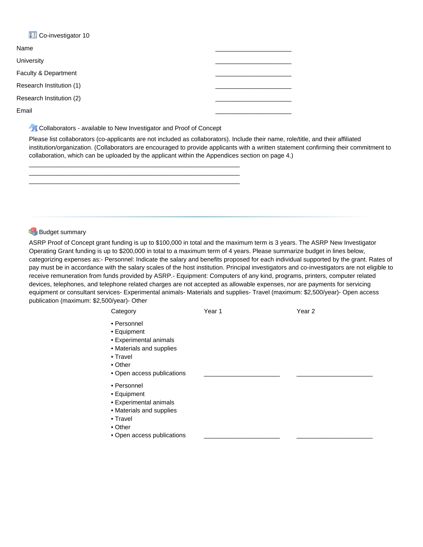# **33** Co-investigator 10

| Name                     |  |
|--------------------------|--|
| University               |  |
| Faculty & Department     |  |
| Research Institution (1) |  |
| Research Institution (2) |  |
| Email                    |  |

**A Collaborators - available to New Investigator and Proof of Concept** 

\_\_\_\_\_\_\_\_\_\_\_\_\_\_\_\_\_\_\_\_\_\_\_\_\_\_\_\_\_\_\_\_\_\_\_\_\_\_\_\_\_\_\_\_\_\_\_\_\_\_\_\_\_\_\_\_\_\_\_\_\_ \_\_\_\_\_\_\_\_\_\_\_\_\_\_\_\_\_\_\_\_\_\_\_\_\_\_\_\_\_\_\_\_\_\_\_\_\_\_\_\_\_\_\_\_\_\_\_\_\_\_\_\_\_\_\_\_\_\_\_\_\_ \_\_\_\_\_\_\_\_\_\_\_\_\_\_\_\_\_\_\_\_\_\_\_\_\_\_\_\_\_\_\_\_\_\_\_\_\_\_\_\_\_\_\_\_\_\_\_\_\_\_\_\_\_\_\_\_\_\_\_\_\_

Please list collaborators (co-applicants are not included as collaborators). Include their name, role/title, and their affiliated institution/organization. (Collaborators are encouraged to provide applicants with a written statement confirming their commitment to collaboration, which can be uploaded by the applicant within the Appendices section on page 4.)

### **Budget summary**

ASRP Proof of Concept grant funding is up to \$100,000 in total and the maximum term is 3 years. The ASRP New Investigator Operating Grant funding is up to \$200,000 in total to a maximum term of 4 years. Please summarize budget in lines below, categorizing expenses as:- Personnel: Indicate the salary and benefits proposed for each individual supported by the grant. Rates of pay must be in accordance with the salary scales of the host institution. Principal investigators and co-investigators are not eligible to receive remuneration from funds provided by ASRP.- Equipment: Computers of any kind, programs, printers, computer related devices, telephones, and telephone related charges are not accepted as allowable expenses, nor are payments for servicing equipment or consultant services- Experimental animals- Materials and supplies- Travel (maximum: \$2,500/year)- Open access publication (maximum: \$2,500/year)- Other

| Category                                                                                                                              | Year 1 | Year 2 |
|---------------------------------------------------------------------------------------------------------------------------------------|--------|--------|
| • Personnel<br>• Equipment<br>• Experimental animals<br>• Materials and supplies<br>• Travel<br>$\bullet$ Other                       |        |        |
| • Open access publications                                                                                                            |        |        |
| • Personnel<br>• Equipment<br>• Experimental animals<br>• Materials and supplies<br>• Travel<br>• Other<br>• Open access publications |        |        |
|                                                                                                                                       |        |        |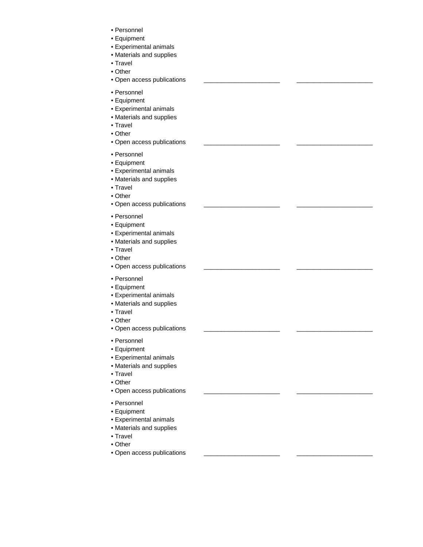- Personnel
- Equipment
- Experimental animals
- Materials and supplies
- Travel
- Other
- Open access publications \_\_\_\_\_\_\_\_\_\_\_\_\_\_\_\_\_\_\_\_\_\_ \_\_\_\_\_\_\_\_\_\_\_\_\_\_\_\_\_\_\_\_\_\_
- Personnel
- Equipment
- Experimental animals
- Materials and supplies
- Travel
- Other
- Open access publications \_\_\_\_\_\_\_\_\_\_\_\_\_\_\_\_\_\_\_\_\_\_ \_\_\_\_\_\_\_\_\_\_\_\_\_\_\_\_\_\_\_\_\_\_
- Personnel
- Equipment
- Experimental animals
- Materials and supplies
- Travel
- Other
- Open access publications \_\_\_\_\_\_\_\_\_\_\_\_\_\_\_\_\_\_\_\_\_\_ \_\_\_\_\_\_\_\_\_\_\_\_\_\_\_\_\_\_\_\_\_\_
- Personnel
- Equipment
- Experimental animals
- Materials and supplies
- Travel
- Other
- Open access publications \_\_\_\_\_\_\_\_\_\_\_\_\_\_\_\_\_\_\_\_\_\_ \_\_\_\_\_\_\_\_\_\_\_\_\_\_\_\_\_\_\_\_\_\_
- Personnel
- Equipment
- Experimental animals
- Materials and supplies
- Travel
- Other
- Open access publications \_\_\_\_\_\_\_\_\_\_\_\_\_\_\_\_\_\_\_\_\_\_ \_\_\_\_\_\_\_\_\_\_\_\_\_\_\_\_\_\_\_\_\_\_
- Personnel
- Equipment
- Experimental animals
- Materials and supplies
- Travel
- Other
- Open access publications \_\_\_\_\_\_\_\_\_\_\_\_\_\_\_\_\_\_\_\_\_\_ \_\_\_\_\_\_\_\_\_\_\_\_\_\_\_\_\_\_\_\_\_\_
- Personnel
- Equipment
- Experimental animals
- Materials and supplies
- Travel
- Other
- Open access publications \_\_\_\_\_\_\_\_\_\_\_\_\_\_\_\_\_\_\_\_\_\_ \_\_\_\_\_\_\_\_\_\_\_\_\_\_\_\_\_\_\_\_\_\_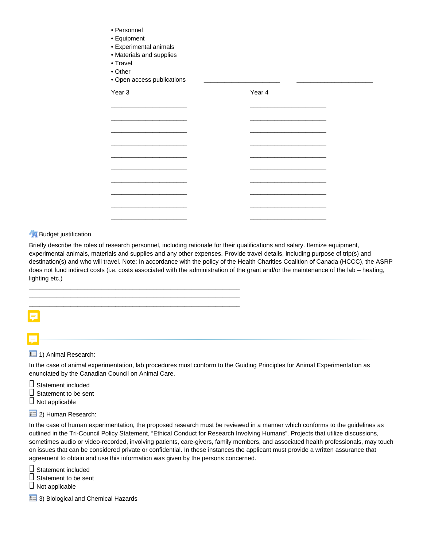| • Equipment<br>• Experimental animals<br>• Materials and supplies<br>• Travel<br>• Other<br>• Open access publications |        |                                                                                 |
|------------------------------------------------------------------------------------------------------------------------|--------|---------------------------------------------------------------------------------|
| Year <sub>3</sub>                                                                                                      | Year 4 |                                                                                 |
|                                                                                                                        |        |                                                                                 |
| <u> La Carlo de la Carlo de la Carlo de la Carlo de la Carlo de la Carlo de la Carlo de la Carlo de la Carlo de l</u>  |        | the contract of the contract of the contract of the contract of the contract of |
|                                                                                                                        |        |                                                                                 |
|                                                                                                                        |        | the contract of the contract of the contract of the contract of the contract of |
|                                                                                                                        |        |                                                                                 |
|                                                                                                                        |        |                                                                                 |
|                                                                                                                        |        |                                                                                 |
|                                                                                                                        |        |                                                                                 |
|                                                                                                                        |        |                                                                                 |
|                                                                                                                        |        |                                                                                 |
|                                                                                                                        |        |                                                                                 |

### **Budget justification**

• Personnel

\_\_\_\_\_\_\_\_\_\_\_\_\_\_\_\_\_\_\_\_\_\_\_\_\_\_\_\_\_\_\_\_\_\_\_\_\_\_\_\_\_\_\_\_\_\_\_\_\_\_\_\_\_\_\_\_\_\_\_\_\_ \_\_\_\_\_\_\_\_\_\_\_\_\_\_\_\_\_\_\_\_\_\_\_\_\_\_\_\_\_\_\_\_\_\_\_\_\_\_\_\_\_\_\_\_\_\_\_\_\_\_\_\_\_\_\_\_\_\_\_\_\_ \_\_\_\_\_\_\_\_\_\_\_\_\_\_\_\_\_\_\_\_\_\_\_\_\_\_\_\_\_\_\_\_\_\_\_\_\_\_\_\_\_\_\_\_\_\_\_\_\_\_\_\_\_\_\_\_\_\_\_\_\_

Briefly describe the roles of research personnel, including rationale for their qualifications and salary. Itemize equipment, experimental animals, materials and supplies and any other expenses. Provide travel details, including purpose of trip(s) and destination(s) and who will travel. Note: In accordance with the policy of the Health Charities Coalition of Canada (HCCC), the ASRP does not fund indirect costs (i.e. costs associated with the administration of the grant and/or the maintenance of the lab – heating, lighting etc.)

\_\_\_\_\_\_\_\_\_\_\_\_\_\_\_\_\_\_\_\_\_\_ \_\_\_\_\_\_\_\_\_\_\_\_\_\_\_\_\_\_\_\_\_\_

|   | Ξ |
|---|---|
| - |   |
|   |   |

 $\equiv$  1) Animal Research:

In the case of animal experimentation, lab procedures must conform to the Guiding Principles for Animal Experimentation as enunciated by the Canadian Council on Animal Care.

 $\Box$  Statement included  $\square$  Statement to be sent  $\Box$  Not applicable

 $\left| \frac{2}{2} \right|$  2) Human Research:

In the case of human experimentation, the proposed research must be reviewed in a manner which conforms to the guidelines as outlined in the Tri-Council Policy Statement, "Ethical Conduct for Research Involving Humans". Projects that utilize discussions, sometimes audio or video-recorded, involving patients, care-givers, family members, and associated health professionals, may touch on issues that can be considered private or confidential. In these instances the applicant must provide a written assurance that agreement to obtain and use this information was given by the persons concerned.

□ Statement included  $\square$  Statement to be sent  $\square$  Not applicable

 $\approx$  3) Biological and Chemical Hazards